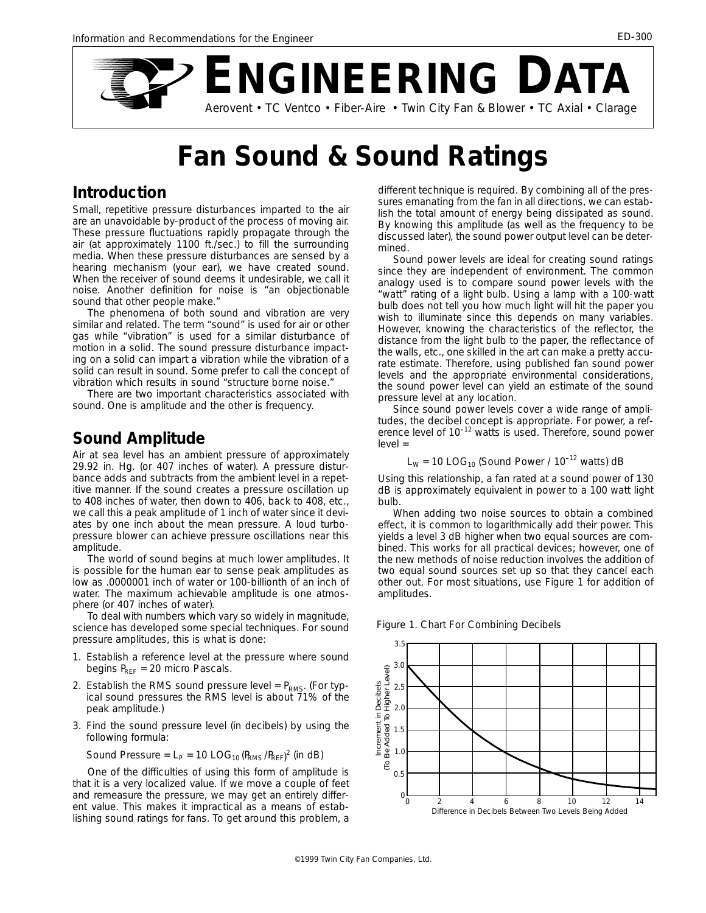

# **Fan Sound & Sound Ratings**

#### **Introduction**

Small, repetitive pressure disturbances imparted to the air are an unavoidable by-product of the process of moving air. These pressure fluctuations rapidly propagate through the air (at approximately 1100 ft./sec.) to fill the surrounding media. When these pressure disturbances are sensed by a hearing mechanism (your ear), we have created sound. When the receiver of sound deems it undesirable, we call it noise. Another definition for noise is "an objectionable sound that other people make."

The phenomena of both sound and vibration are very similar and related. The term "sound" is used for air or other gas while "vibration" is used for a similar disturbance of motion in a solid. The sound pressure disturbance impacting on a solid can impart a vibration while the vibration of a solid can result in sound. Some prefer to call the concept of vibration which results in sound "structure borne noise."

There are two important characteristics associated with sound. One is amplitude and the other is frequency.

#### **Sound Amplitude**

Air at sea level has an ambient pressure of approximately 29.92 in. Hg. (or 407 inches of water). A pressure disturbance adds and subtracts from the ambient level in a repetitive manner. If the sound creates a pressure oscillation up to 408 inches of water, then down to 406, back to 408, etc., we call this a peak amplitude of 1 inch of water since it deviates by one inch about the mean pressure. A loud turbopressure blower can achieve pressure oscillations near this amplitude.

The world of sound begins at much lower amplitudes. It is possible for the human ear to sense peak amplitudes as low as .0000001 inch of water or 100-billionth of an inch of water. The maximum achievable amplitude is one atmosphere (or 407 inches of water).

To deal with numbers which vary so widely in magnitude, science has developed some special techniques. For sound pressure amplitudes, this is what is done:

- 1. Establish a reference level at the pressure where sound begins  $P_{\text{REF}}$  = 20 micro Pascals.
- 2. Establish the RMS sound pressure level =  $P_{RMS}$ . (For typical sound pressures the RMS level is about 71% of the peak amplitude.)
- 3. Find the sound pressure level (in decibels) by using the following formula:

Sound Pressure = 
$$
L_P
$$
 = 10  $LOG_{10}(P_{RMS}/P_{REF})^2$  (in dB)

One of the difficulties of using this form of amplitude is that it is a very localized value. If we move a couple of feet and remeasure the pressure, we may get an entirely different value. This makes it impractical as a means of establishing sound ratings for fans. To get around this problem, a

different technique is required. By combining all of the pressures emanating from the fan in all directions, we can establish the total amount of energy being dissipated as sound. By knowing this amplitude (as well as the frequency to be discussed later), the sound power output level can be determined.

Sound power levels are ideal for creating sound ratings since they are independent of environment. The common analogy used is to compare sound power levels with the "watt" rating of a light bulb. Using a lamp with a 100-watt bulb does not tell you how much light will hit the paper you wish to illuminate since this depends on many variables. However, knowing the characteristics of the reflector, the distance from the light bulb to the paper, the reflectance of the walls, etc., one skilled in the art can make a pretty accurate estimate. Therefore, using published fan sound power levels and the appropriate environmental considerations, the sound power level can yield an estimate of the sound pressure level at any location.

Since sound power levels cover a wide range of amplitudes, the decibel concept is appropriate. For power, a ref-erence level of 10-12 watts is used. Therefore, sound power level =

$$
L_W
$$
 = 10  $LOG_{10}$  (Sound Power / 10<sup>-12</sup> watts) dB

Using this relationship, a fan rated at a sound power of 130 dB is approximately equivalent in power to a 100 watt light bulb.

When adding two noise sources to obtain a combined effect, it is common to logarithmically add their power. This yields a level 3 dB higher when two equal sources are combined. This works for all practical devices; however, one of the new methods of noise reduction involves the addition of two equal sound sources set up so that they cancel each other out. For most situations, use Figure 1 for addition of amplitudes.

*Figure 1. Chart For Combining Decibels*

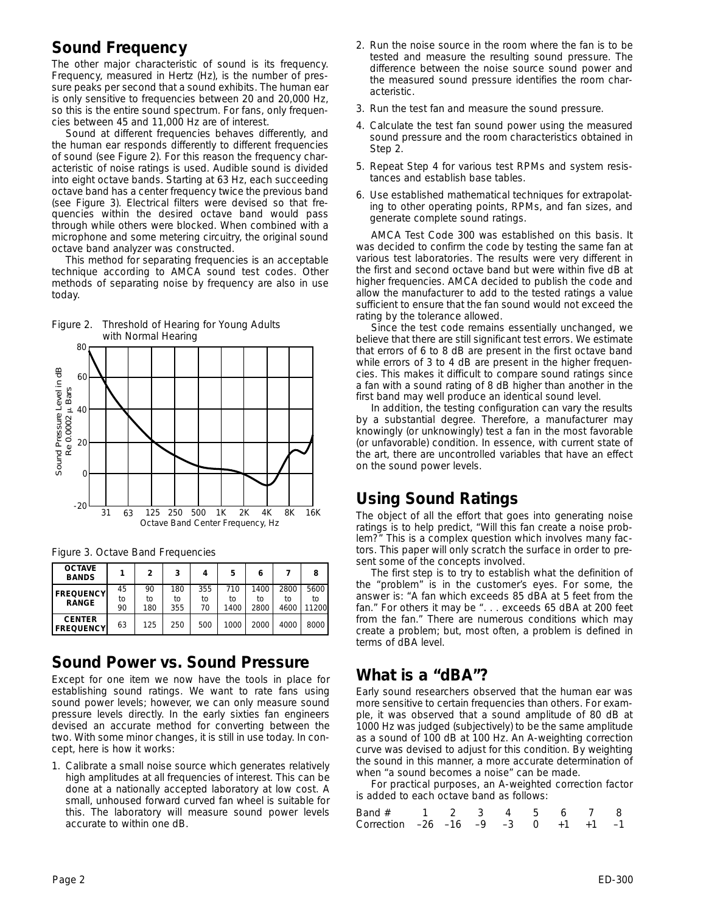# **Sound Frequency**

The other major characteristic of sound is its frequency. Frequency, measured in Hertz (Hz), is the number of pressure peaks per second that a sound exhibits. The human ear is only sensitive to frequencies between 20 and 20,000 Hz, so this is the entire sound spectrum. For fans, only frequencies between 45 and 11,000 Hz are of interest.

Sound at different frequencies behaves differently, and the human ear responds differently to different frequencies of sound (see Figure 2). For this reason the frequency characteristic of noise ratings is used. Audible sound is divided into eight octave bands. Starting at 63 Hz, each succeeding octave band has a center frequency twice the previous band (see Figure 3). Electrical filters were devised so that frequencies within the desired octave band would pass through while others were blocked. When combined with a microphone and some metering circuitry, the original sound octave band analyzer was constructed.

This method for separating frequencies is an acceptable technique according to AMCA sound test codes. Other methods of separating noise by frequency are also in use today.





|  |  |  | Figure 3. Octave Band Frequencies |
|--|--|--|-----------------------------------|
|--|--|--|-----------------------------------|

| <b>OCTAVE</b><br><b>BANDS</b>     |          | 2        | 3         | 4         | 5         | 6          |            | 8          |
|-----------------------------------|----------|----------|-----------|-----------|-----------|------------|------------|------------|
| <b>FREQUENCY</b><br><b>RANGE</b>  | 45<br>to | 90<br>to | 180<br>to | 355<br>to | 710<br>tο | 1400<br>tο | 2800<br>tο | 5600<br>tο |
|                                   | 90       | 180      | 355       | 70        | 1400      | 2800       | 4600       | 11200      |
| <b>CENTER</b><br><b>FREQUENCY</b> | 63       | 125      | 250       | 500       | 1000      | 2000       | 4000       | 8000       |

#### **Sound Power vs. Sound Pressure**

Except for one item we now have the tools in place for establishing sound ratings. We want to rate fans using sound power levels; however, we can only measure sound pressure levels directly. In the early sixties fan engineers devised an accurate method for converting between the two. With some minor changes, it is still in use today. In concept, here is how it works:

1. Calibrate a small noise source which generates relatively high amplitudes at all frequencies of interest. This can be done at a nationally accepted laboratory at low cost. A small, unhoused forward curved fan wheel is suitable for this. The laboratory will measure sound power levels accurate to within one dB.

- 2. Run the noise source in the room where the fan is to be tested and measure the resulting sound pressure. The difference between the noise source sound power and the measured sound pressure identifies the room characteristic.
- 3. Run the test fan and measure the sound pressure.
- 4. Calculate the test fan sound power using the measured sound pressure and the room characteristics obtained in Step 2.
- 5. Repeat Step 4 for various test RPMs and system resistances and establish base tables.
- 6. Use established mathematical techniques for extrapolating to other operating points, RPMs, and fan sizes, and generate complete sound ratings.

AMCA Test Code 300 was established on this basis. It was decided to confirm the code by testing the same fan at various test laboratories. The results were very different in the first and second octave band but were within five dB at higher frequencies. AMCA decided to publish the code and allow the manufacturer to add to the tested ratings a value sufficient to ensure that the fan sound would not exceed the rating by the tolerance allowed.

Since the test code remains essentially unchanged, we believe that there are still significant test errors. We estimate that errors of 6 to 8 dB are present in the first octave band while errors of 3 to 4 dB are present in the higher frequencies. This makes it difficult to compare sound ratings since a fan with a sound rating of 8 dB higher than another in the first band may well produce an identical sound level.

In addition, the testing configuration can vary the results by a substantial degree. Therefore, a manufacturer may knowingly (or unknowingly) test a fan in the most favorable (or unfavorable) condition. In essence, with current state of the art, there are uncontrolled variables that have an effect on the sound power levels.

## **Using Sound Ratings**

The object of all the effort that goes into generating noise ratings is to help predict, "Will this fan create a noise problem?" This is a complex question which involves many factors. This paper will only scratch the surface in order to present some of the concepts involved.

The first step is to try to establish what the definition of the "problem" is in the customer's eyes. For some, the answer is: "A fan which exceeds 85 dBA at 5 feet from the fan." For others it may be ". . . exceeds 65 dBA at 200 feet from the fan." There are numerous conditions which may create a problem; but, most often, a problem is defined in terms of dBA level.

### **What is a "dBA"?**

Early sound researchers observed that the human ear was more sensitive to certain frequencies than others. For example, it was observed that a sound amplitude of 80 dB at 1000 Hz was judged (subjectively) to be the same amplitude as a sound of 100 dB at 100 Hz. An A-weighting correction curve was devised to adjust for this condition. By weighting the sound in this manner, a more accurate determination of when "a sound becomes a noise" can be made.

For practical purposes, an A-weighted correction factor is added to each octave band as follows:

| Band # 1 2 3 4 5 6 7 8                            |  |  |  |  |
|---------------------------------------------------|--|--|--|--|
| Correction $-26$ $-16$ $-9$ $-3$ 0 $+1$ $+1$ $-1$ |  |  |  |  |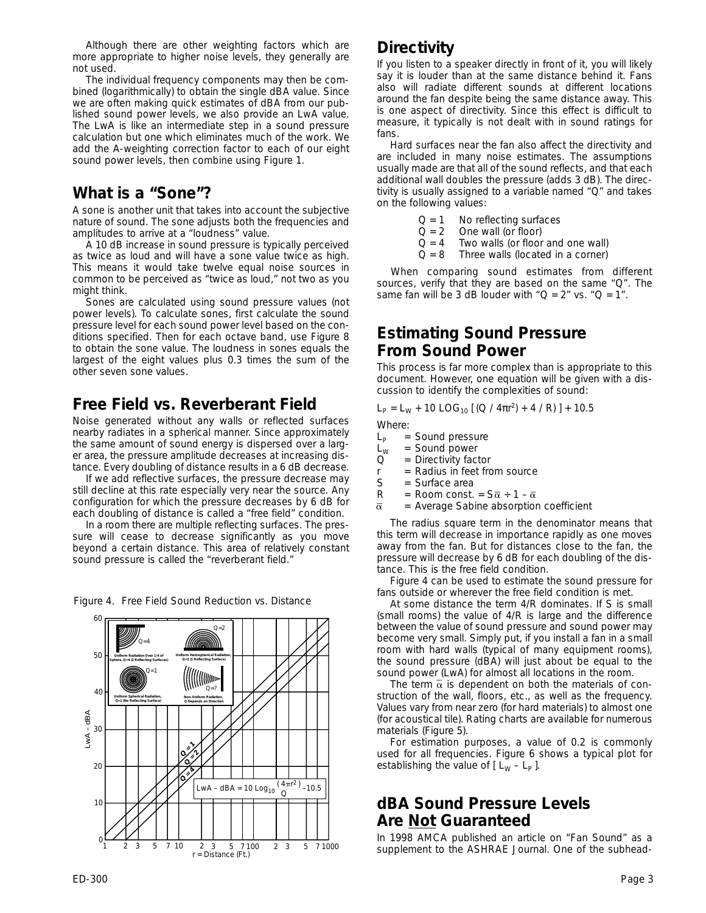Although there are other weighting factors which are more appropriate to higher noise levels, they generally are not used.

The individual frequency components may then be combined (logarithmically) to obtain the single dBA value. Since we are often making quick estimates of dBA from our published sound power levels, we also provide an LwA value. The LwA is like an intermediate step in a sound pressure calculation but one which eliminates much of the work. We add the A-weighting correction factor to each of our eight sound power levels, then combine using Figure 1.

### **What is a "Sone"?**

A sone is another unit that takes into account the subjective nature of sound. The sone adjusts both the frequencies and amplitudes to arrive at a "loudness" value.

A 10 dB increase in sound pressure is typically perceived as twice as loud and will have a sone value twice as high. This means it would take twelve equal noise sources in common to be perceived as "twice as loud," not two as you might think.

Sones are calculated using sound pressure values (not power levels). To calculate sones, first calculate the sound pressure level for each sound power level based on the conditions specified. Then for each octave band, use Figure 8 to obtain the sone value. The loudness in sones equals the largest of the eight values plus 0.3 times the sum of the other seven sone values.

# **Free Field vs. Reverberant Field**

Noise generated without any walls or reflected surfaces nearby radiates in a spherical manner. Since approximately the same amount of sound energy is dispersed over a larger area, the pressure amplitude decreases at increasing distance. Every doubling of distance results in a 6 dB decrease.

If we add reflective surfaces, the pressure decrease may still decline at this rate especially very near the source. Any configuration for which the pressure decreases by 6 dB for each doubling of distance is called a "free field" condition.

In a room there are multiple reflecting surfaces. The pressure will cease to decrease significantly as you move beyond a certain distance. This area of relatively constant sound pressure is called the "reverberant field."



*Figure 4. Free Field Sound Reduction vs. Distance*

# **Directivity**

If you listen to a speaker directly in front of it, you will likely say it is louder than at the same distance behind it. Fans also will radiate different sounds at different locations around the fan despite being the same distance away. This is one aspect of directivity. Since this effect is difficult to measure, it typically is not dealt with in sound ratings for fans.

Hard surfaces near the fan also affect the directivity and are included in many noise estimates. The assumptions usually made are that all of the sound reflects, and that each additional wall doubles the pressure (adds 3 dB). The directivity is usually assigned to a variable named "Q" and takes on the following values:

- $Q = 1$  No reflecting surfaces<br> $Q = 2$  One wall (or floor)
- One wall (or floor)
- $Q = 4$  Two walls (or floor and one wall)
- $Q = 8$  Three walls (located in a corner)

When comparing sound estimates from different sources, verify that they are based on the same "Q". The same fan will be 3 dB louder with " $Q = 2$ " vs. " $Q = 1$ ".

### **Estimating Sound Pressure From Sound Power**

This process is far more complex than is appropriate to this document. However, one equation will be given with a discussion to identify the complexities of sound:

$$
L_{\rm P} = L_{\rm W} + 10 \text{ LOG}_{10} [(Q / 4\pi r^2) + 4 / R] + 10.5
$$

Where:

- $L_p$  = Sound pressure<br> $L_w$  = Sound power
- $L_W$  = Sound power<br>Q = Directivity fac
- $=$  Directivity factor
- $r =$  Radius in feet from source
- S = Surface area<br>R = Room const.
- = Room const. =  $S\overline{\alpha}$  ÷ 1  $\overline{\alpha}$
- $\bar{\alpha}$  = Average Sabine absorption coefficient

The radius square term in the denominator means that this term will decrease in importance rapidly as one moves away from the fan. But for distances close to the fan, the pressure will decrease by 6 dB for each doubling of the distance. This is the free field condition.

Figure 4 can be used to estimate the sound pressure for fans outside or wherever the free field condition is met.

At some distance the term 4/R dominates. If S is small (small rooms) the value of 4/R is large and the difference between the value of sound pressure and sound power may become very small. Simply put, if you install a fan in a small room with hard walls (typical of many equipment rooms), the sound pressure (dBA) will just about be equal to the sound power (LwA) for almost all locations in the room.

The term  $\bar{\alpha}$  is dependent on both the materials of construction of the wall, floors, etc., as well as the frequency. Values vary from near zero (for hard materials) to almost one (for acoustical tile). Rating charts are available for numerous materials (Figure 5).

For estimation purposes, a value of 0.2 is commonly used for all frequencies. Figure 6 shows a typical plot for establishing the value of  $[L_W - L_P]$ .

## **dBA Sound Pressure Levels Are Not Guaranteed**

In 1998 AMCA published an article on "Fan Sound" as a supplement to the *ASHRAE Journal*. One of the subhead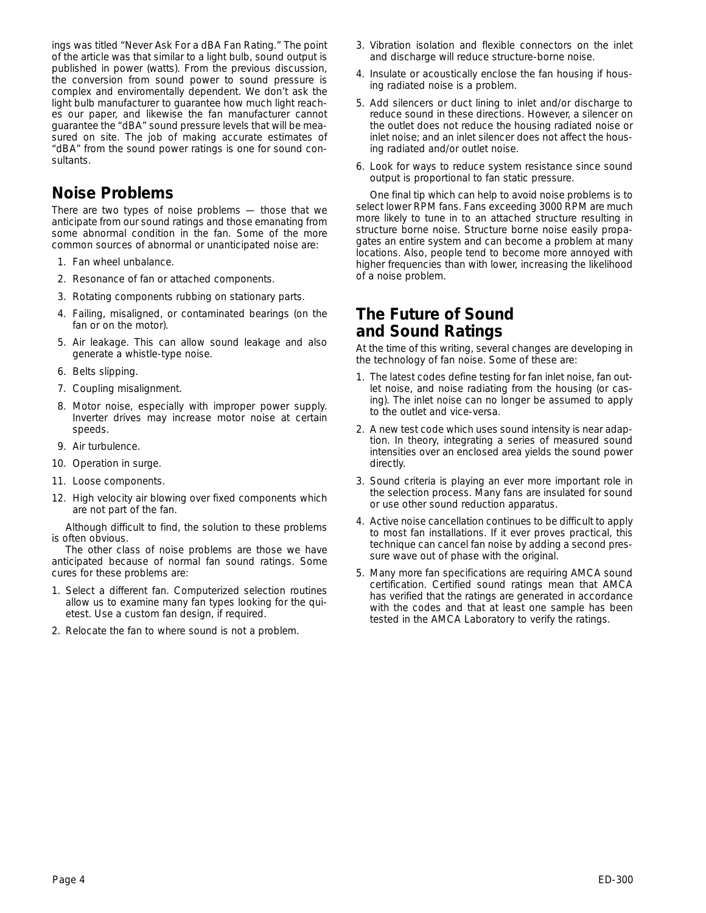ings was titled "Never Ask For a dBA Fan Rating." The point of the article was that similar to a light bulb, sound output is published in power (watts). From the previous discussion, the conversion from sound power to sound pressure is complex and enviromentally dependent. We don't ask the light bulb manufacturer to guarantee how much light reaches our paper, and likewise the fan manufacturer cannot guarantee the "dBA" sound pressure levels that will be measured on site. The job of making accurate estimates of "dBA" from the sound power ratings is one for sound consultants.

### **Noise Problems**

There are two types of noise problems — those that we anticipate from our sound ratings and those emanating from some abnormal condition in the fan. Some of the more common sources of abnormal or unanticipated noise are:

- 1. Fan wheel unbalance.
- 2. Resonance of fan or attached components.
- 3. Rotating components rubbing on stationary parts.
- 4. Failing, misaligned, or contaminated bearings (on the fan or on the motor).
- 5. Air leakage. This can allow sound leakage and also generate a whistle-type noise.
- 6. Belts slipping.
- 7. Coupling misalignment.
- 8. Motor noise, especially with improper power supply. Inverter drives may increase motor noise at certain speeds.
- 9. Air turbulence.
- 10. Operation in surge.
- 11. Loose components.
- 12. High velocity air blowing over fixed components which are not part of the fan.

Although difficult to find, the solution to these problems is often obvious.

The other class of noise problems are those we have anticipated because of normal fan sound ratings. Some cures for these problems are:

- 1. Select a different fan. Computerized selection routines allow us to examine many fan types looking for the quietest. Use a custom fan design, if required.
- 2. Relocate the fan to where sound is not a problem.
- 3. Vibration isolation and flexible connectors on the inlet and discharge will reduce structure-borne noise.
- 4. Insulate or acoustically enclose the fan housing if housing radiated noise is a problem.
- 5. Add silencers or duct lining to inlet and/or discharge to reduce sound in these directions. However, a silencer on the outlet does not reduce the housing radiated noise or inlet noise; and an inlet silencer does not affect the housing radiated and/or outlet noise.
- 6. Look for ways to reduce system resistance since sound output is proportional to fan static pressure.

One final tip which can help to avoid noise problems is to select lower RPM fans. Fans exceeding 3000 RPM are much more likely to tune in to an attached structure resulting in structure borne noise. Structure borne noise easily propagates an entire system and can become a problem at many locations. Also, people tend to become more annoyed with higher frequencies than with lower, increasing the likelihood of a noise problem.

## **The Future of Sound and Sound Ratings**

At the time of this writing, several changes are developing in the technology of fan noise. Some of these are:

- 1. The latest codes define testing for fan inlet noise, fan outlet noise, and noise radiating from the housing (or casing). The inlet noise can no longer be assumed to apply to the outlet and vice-versa.
- 2. A new test code which uses sound intensity is near adaption. In theory, integrating a series of measured sound intensities over an enclosed area yields the sound power directly.
- 3. Sound criteria is playing an ever more important role in the selection process. Many fans are insulated for sound or use other sound reduction apparatus.
- 4. Active noise cancellation continues to be difficult to apply to most fan installations. If it ever proves practical, this technique can cancel fan noise by adding a second pressure wave out of phase with the original.
- 5. Many more fan specifications are requiring AMCA sound certification. Certified sound ratings mean that AMCA has verified that the ratings are generated in accordance with the codes and that at least one sample has been tested in the AMCA Laboratory to verify the ratings.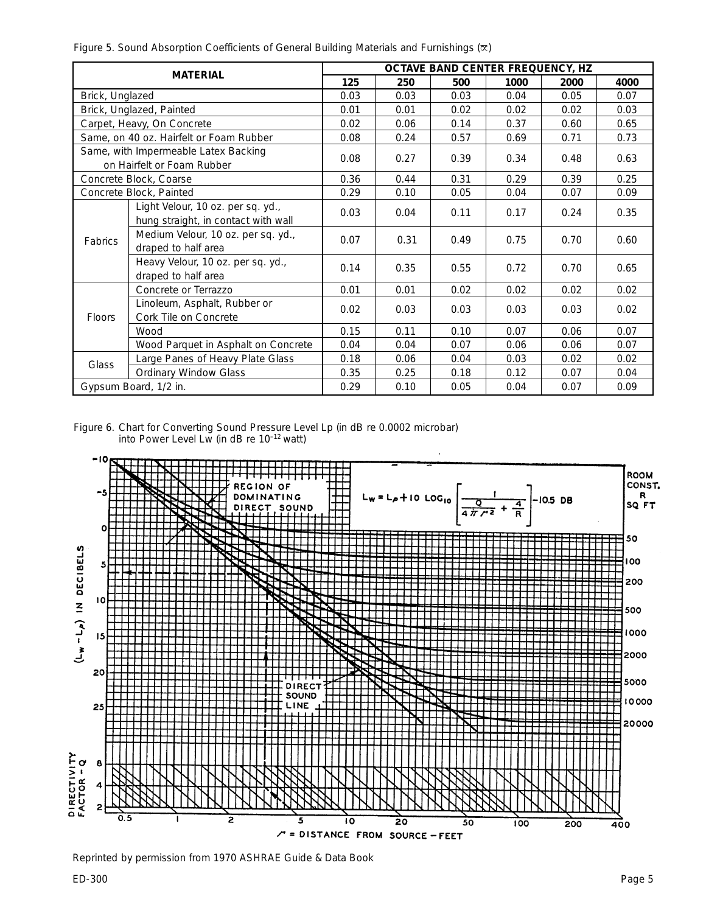*Figure 5. Sound Absorption Coefficients of General Building Materials and Furnishings ()*

|                                                                 |                                                                          | OCTAVE BAND CENTER FREQUENCY, HZ |      |      |      |      |      |  |
|-----------------------------------------------------------------|--------------------------------------------------------------------------|----------------------------------|------|------|------|------|------|--|
|                                                                 | <b>MATERIAL</b>                                                          | 125                              | 250  | 500  | 1000 | 2000 | 4000 |  |
| Brick, Unglazed                                                 |                                                                          | 0.03                             | 0.03 | 0.03 | 0.04 | 0.05 | 0.07 |  |
|                                                                 | Brick, Unglazed, Painted                                                 | 0.01                             | 0.01 | 0.02 | 0.02 | 0.02 | 0.03 |  |
|                                                                 | Carpet, Heavy, On Concrete                                               | 0.02                             | 0.06 | 0.14 | 0.37 | 0.60 | 0.65 |  |
|                                                                 | Same, on 40 oz. Hairfelt or Foam Rubber                                  | 0.08                             | 0.24 | 0.57 | 0.69 | 0.71 | 0.73 |  |
|                                                                 | Same, with Impermeable Latex Backing<br>on Hairfelt or Foam Rubber       | 0.08                             | 0.27 | 0.39 | 0.34 | 0.48 | 0.63 |  |
|                                                                 | Concrete Block, Coarse                                                   | 0.36                             | 0.44 | 0.31 | 0.29 | 0.39 | 0.25 |  |
|                                                                 | Concrete Block, Painted                                                  | 0.29                             | 0.10 | 0.05 | 0.04 | 0.07 | 0.09 |  |
|                                                                 | Light Velour, 10 oz. per sq. yd.,<br>hung straight, in contact with wall | 0.03                             | 0.04 | 0.11 | 0.17 | 0.24 | 0.35 |  |
| <b>Fabrics</b>                                                  | Medium Velour, 10 oz. per sq. yd.,<br>draped to half area                | 0.07                             | 0.31 | 0.49 | 0.75 | 0.70 | 0.60 |  |
|                                                                 | Heavy Velour, 10 oz. per sq. yd.,<br>draped to half area                 | 0.14                             | 0.35 | 0.55 | 0.72 | 0.70 | 0.65 |  |
|                                                                 | Concrete or Terrazzo                                                     | 0.01                             | 0.01 | 0.02 | 0.02 | 0.02 | 0.02 |  |
| Linoleum, Asphalt, Rubber or<br>Cork Tile on Concrete<br>Floors |                                                                          | 0.02                             | 0.03 | 0.03 | 0.03 | 0.03 | 0.02 |  |
|                                                                 | Wood                                                                     | 0.15                             | 0.11 | 0.10 | 0.07 | 0.06 | 0.07 |  |
|                                                                 | Wood Parquet in Asphalt on Concrete                                      | 0.04                             | 0.04 | 0.07 | 0.06 | 0.06 | 0.07 |  |
| Glass                                                           | Large Panes of Heavy Plate Glass                                         | 0.18                             | 0.06 | 0.04 | 0.03 | 0.02 | 0.02 |  |
|                                                                 | <b>Ordinary Window Glass</b>                                             | 0.35                             | 0.25 | 0.18 | 0.12 | 0.07 | 0.04 |  |
|                                                                 | Gypsum Board, 1/2 in.                                                    | 0.29                             | 0.10 | 0.05 | 0.04 | 0.07 | 0.09 |  |

*Figure 6. Chart for Converting Sound Pressure Level Lp (in dB re 0.0002 microbar) into Power Level Lw (in dB re 10–12 watt)*



*Reprinted by permission from 1970 ASHRAE Guide & Data Book*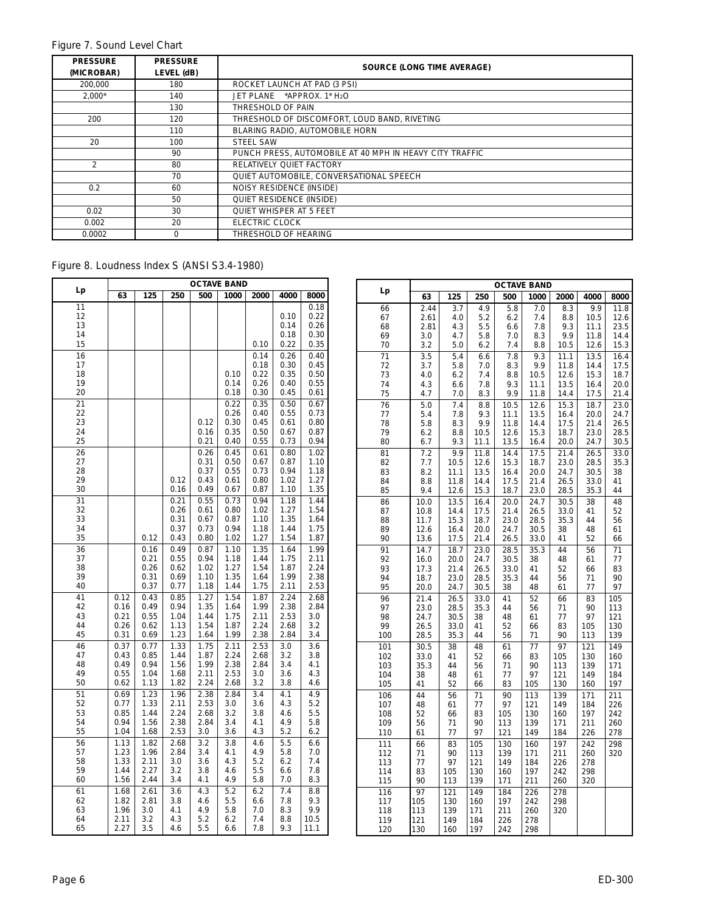#### *Figure 7. Sound Level Chart*

| <b>PRESSURE</b><br>(MICROBAR) | <b>PRESSURE</b><br>LEVEL (dB) | <b>SOURCE (LONG TIME AVERAGE)</b>                       |
|-------------------------------|-------------------------------|---------------------------------------------------------|
| 200.000                       | 180                           | ROCKET LAUNCH AT PAD (3 PSI)                            |
| $2.000*$                      | 140                           | JET PLANE *APPROX. 1* H2O                               |
|                               | 130                           | THRESHOLD OF PAIN                                       |
| 200                           | 120                           | THRESHOLD OF DISCOMFORT, LOUD BAND, RIVETING            |
|                               | 110                           | BLARING RADIO, AUTOMOBILE HORN                          |
| 20                            | 100                           | <b>STEEL SAW</b>                                        |
|                               | 90                            | PUNCH PRESS, AUTOMOBILE AT 40 MPH IN HEAVY CITY TRAFFIC |
| $\mathfrak{D}$                | 80                            | RELATIVELY QUIET FACTORY                                |
|                               | 70                            | QUIET AUTOMOBILE, CONVERSATIONAL SPEECH                 |
| 0.2                           | 60                            | NOISY RESIDENCE (INSIDE)                                |
|                               | 50                            | QUIET RESIDENCE (INSIDE)                                |
| 0.02                          | 30                            | <b>QUIET WHISPER AT 5 FEET</b>                          |
| 0.002                         | 20                            | ELECTRIC CLOCK                                          |
| 0.0002                        | $\Omega$                      | THRESHOLD OF HEARING                                    |

#### *Figure 8. Loudness Index S (ANSI S3.4-1980)*

| Lp              | <b>OCTAVE BAND</b> |              |              |              |              |              |              |              |
|-----------------|--------------------|--------------|--------------|--------------|--------------|--------------|--------------|--------------|
|                 | 63                 | 125          | 250          | 500          | 1000         | 2000         | 4000         | 8000         |
| $\overline{11}$ |                    |              |              |              |              |              |              | 0.18         |
| 12              |                    |              |              |              |              |              | 0.10         | 0.22         |
| 13              |                    |              |              |              |              |              | 0.14         | 0.26         |
| 14              |                    |              |              |              |              |              | 0.18         | 0.30         |
| 15              |                    |              |              |              |              | 0.10         | 0.22         | 0.35         |
| 16<br>17        |                    |              |              |              |              | 0.14<br>0.18 | 0.26<br>0.30 | 0.40<br>0.45 |
| 18              |                    |              |              |              | 0.10         | 0.22         | 0.35         | 0.50         |
| 19              |                    |              |              |              | 0.14         | 0.26         | 0.40         | 0.55         |
| 20              |                    |              |              |              | 0.18         | 0.30         | 0.45         | 0.61         |
| 21              |                    |              |              |              | 0.22         | 0.35         | 0.50         | 0.67         |
| 22              |                    |              |              |              | 0.26         | 0.40         | 0.55         | 0.73         |
| 23              |                    |              |              | 0.12         | 0.30         | 0.45         | 0.61         | 0.80         |
| 24              |                    |              |              | 0.16         | 0.35         | 0.50         | 0.67         | 0.87         |
| 25              |                    |              |              | 0.21         | 0.40         | 0.55         | 0.73         | 0.94         |
| 26              |                    |              |              | 0.26         | 0.45         | 0.61         | 0.80         | 1.02         |
| 27              |                    |              |              | 0.31         | 0.50         | 0.67         | 0.87         | 1.10         |
| 28<br>29        |                    |              | 0.12         | 0.37<br>0.43 | 0.55<br>0.61 | 0.73<br>0.80 | 0.94<br>1.02 | 1.18<br>1.27 |
| 30              |                    |              | 0.16         | 0.49         | 0.67         | 0.87         | 1.10         | 1.35         |
| 31              |                    |              | 0.21         | 0.55         | 0.73         | 0.94         | 1.18         | 1.44         |
| 32              |                    |              | 0.26         | 0.61         | 0.80         | 1.02         | 1.27         | 1.54         |
| 33              |                    |              | 0.31         | 0.67         | 0.87         | 1.10         | 1.35         | 1.64         |
| 34              |                    |              | 0.37         | 0.73         | 0.94         | 1.18         | 1.44         | 1.75         |
| 35              |                    | 0.12         | 0.43         | 0.80         | 1.02         | 1.27         | 1.54         | 1.87         |
| 36              |                    | 0.16         | 0.49         | 0.87         | 1.10         | 1.35         | 1.64         | 1.99         |
| 37              |                    | 0.21         | 0.55         | 0.94         | 1.18         | 1.44         | 1.75         | 2.11         |
| 38              |                    | 0.26         | 0.62         | 1.02         | 1.27         | 1.54         | 1.87         | 2.24         |
| 39              |                    | 0.31         | 0.69         | 1.10         | 1.35         | 1.64         | 1.99         | 2.38         |
| 40              |                    | 0.37         | 0.77         | 1.18         | 1.44         | 1.75         | 2.11         | 2.53         |
| 41<br>42        | 0.12<br>0.16       | 0.43<br>0.49 | 0.85<br>0.94 | 1.27<br>1.35 | 1.54<br>1.64 | 1.87<br>1.99 | 2.24<br>2.38 | 2.68<br>2.84 |
| 43              | 0.21               | 0.55         | 1.04         | 1.44         | 1.75         | 2.11         | 2.53         | 3.0          |
| 44              | 0.26               | 0.62         | 1.13         | 1.54         | 1.87         | 2.24         | 2.68         | 3.2          |
| 45              | 0.31               | 0.69         | 1.23         | 1.64         | 1.99         | 2.38         | 2.84         | 3.4          |
| 46              | 0.37               | 0.77         | 1.33         | 1.75         | 2.11         | 2.53         | 3.0          | 3.6          |
| 47              | 0.43               | 0.85         | 1.44         | 1.87         | 2.24         | 2.68         | 3.2          | 3.8          |
| 48              | 0.49               | 0.94         | 1.56         | 1.99         | 2.38         | 2.84         | 3.4          | 4.1          |
| 49              | 0.55               | 1.04         | 1.68         | 2.11         | 2.53         | 3.0          | 3.6          | 4.3          |
| 50              | 0.62               | 1.13         | 1.82         | 2.24         | 2.68         | 3.2          | 3.8          | 4.6          |
| 51              | 0.69               | 1.23         | 1.96         | 2.38         | 2.84         | 3.4          | 4.1          | 4.9          |
| 52<br>53        | 0.77<br>0.85       | 1.33<br>1.44 | 2.11<br>2.24 | 2.53<br>2.68 | 3.0<br>3.2   | 3.6<br>3.8   | 4.3<br>4.6   | 5.2<br>5.5   |
| 54              | 0.94               | 1.56         | 2.38         | 2.84         | 3.4          | 4.1          | 4.9          | 5.8          |
| 55              | 1.04               | 1.68         | 2.53         | 3.0          | 3.6          | 4.3          | 5.2          | 6.2          |
| 56              | 1.13               | 1.82         | 2.68         | 3.2          | 3.8          | 4.6          | 5.5          | 6.6          |
| 57              | 1.23               | 1.96         | 2.84         | 3.4          | 4.1          | 4.9          | 5.8          | 7.0          |
| 58              | 1.33               | 2.11         | 3.0          | 3.6          | 4.3          | 5.2          | 6.2          | 7.4          |
| 59              | 1.44               | 2.27         | 3.2          | 3.8          | 4.6          | 5.5          | 6.6          | 7.8          |
| 60              | 1.56               | 2.44         | 3.4          | 4.1          | 4.9          | 5.8          | 7.0          | 8.3          |
| 61              | 1.68               | 2.61         | 3.6          | 4.3          | 5.2          | 6.2          | 7.4          | 8.8          |
| 62              | 1.82               | 2.81         | 3.8          | 4.6          | 5.5          | 6.6          | 7.8          | 9.3          |
| 63<br>64        | 1.96<br>2.11       | 3.0<br>3.2   | 4.1<br>4.3   | 4.9<br>5.2   | 5.8<br>6.2   | 7.0<br>7.4   | 8.3<br>8.8   | 9.9<br>10.5  |
| 65              | 2.27               | 3.5          | 4.6          | 5.5          | 6.6          | 7.8          | 9.3          | 11.1         |
|                 |                    |              |              |              |              |              |              |              |

|            | <b>OCTAVE BAND</b> |              |              |              |              |              |              |              |
|------------|--------------------|--------------|--------------|--------------|--------------|--------------|--------------|--------------|
| Lp         | 63                 | 125          | 250          | 500          | 1000         | 2000         | 4000         | 8000         |
| 66         | 2.44               | 3.7          | 4.9          | 5.8          | 7.0          | 8.3          | 9.9          | 11.8         |
| 67<br>68   | 2.61<br>2.81       | 4.0<br>4.3   | 5.2<br>5.5   | 6.2<br>6.6   | 7.4<br>7.8   | 8.8<br>9.3   | 10.5<br>11.1 | 12.6<br>23.5 |
| 69         | 3.0                | 4.7          | 5.8          | 7.0          | 8.3          | 9.9          | 11.8         | 14.4         |
| 70         | 3.2                | 5.0          | 6.2          | 7.4          | 8.8          | 10.5         | 12.6         | 15.3         |
| 71         | 3.5                | 5.4          | 6.6          | 7.8          | 9.3          | 11.1         | 13.5         | 16.4         |
| 72         | 3.7                | 5.8          | 7.0          | 8.3          | 9.9          | 11.8         | 14.4         | 17.5         |
| 73         | 4.0                | 6.2          | 7.4          | 8.8          | 10.5         | 12.6         | 15.3         | 18.7         |
| 74<br>75   | 4.3<br>4.7         | 6.6<br>7.0   | 7.8<br>8.3   | 9.3<br>9.9   | 11.1<br>11.8 | 13.5<br>14.4 | 16.4<br>17.5 | 20.0<br>21.4 |
| 76         | 5.0                | 7.4          | 8.8          | 10.5         | 12.6         | 15.3         | 18.7         | 23.0         |
| 77         | 5.4                | 7.8          | 9.3          | 11.1         | 13.5         | 16.4         | 20.0         | 24.7         |
| 78         | 5.8                | 8.3          | 9.9          | 11.8         | 14.4         | 17.5         | 21.4         | 26.5         |
| 79         | 6.2                | 8.8          | 10.5         | 12.6         | 15.3         | 18.7         | 23.0         | 28.5         |
| 80         | 6.7                | 9.3          | 11.1         | 13.5         | 16.4         | 20.0         | 24.7         | 30.5         |
| 81         | 7.2                | 9.9          | 11.8         | 14.4         | 17.5         | 21.4         | 26.5         | 33.0         |
| 82<br>83   | 7.7<br>8.2         | 10.5<br>11.1 | 12.6<br>13.5 | 15.3<br>16.4 | 18.7<br>20.0 | 23.0<br>24.7 | 28.5<br>30.5 | 35.3<br>38   |
| 84         | 8.8                | 11.8         | 14.4         | 17.5         | 21.4         | 26.5         | 33.0         | 41           |
| 85         | 9.4                | 12.6         | 15.3         | 18.7         | 23.0         | 28.5         | 35.3         | 44           |
| 86         | 10.0               | 13.5         | 16.4         | 20.0         | 24.7         | 30.5         | 38           | 48           |
| 87         | 10.8               | 14.4         | 17.5         | 21.4         | 26.5         | 33.0         | 41           | 52           |
| 88<br>89   | 11.7<br>12.6       | 15.3<br>16.4 | 18.7<br>20.0 | 23.0<br>24.7 | 28.5<br>30.5 | 35.3<br>38   | 44<br>48     | 56<br>61     |
| 90         | 13.6               | 17.5         | 21.4         | 26.5         | 33.0         | 41           | 52           | 66           |
| 91         | 14.7               | 18.7         | 23.0         | 28.5         | 35.3         | 44           | 56           | 71           |
| 92         | 16.0               | 20.0         | 24.7         | 30.5         | 38           | 48           | 61           | 77           |
| 93         | 17.3               | 21.4         | 26.5         | 33.0         | 41           | 52           | 66           | 83           |
| 94<br>95   | 18.7<br>20.0       | 23.0<br>24.7 | 28.5<br>30.5 | 35.3<br>38   | 44<br>48     | 56<br>61     | 71<br>77     | 90<br>97     |
| 96         | 21.4               | 26.5         | 33.0         | 41           | 52           | 66           | 83           | 105          |
| 97         | 23.0               | 28.5         | 35.3         | 44           | 56           | 71           | 90           | 113          |
| 98         | 24.7               | 30.5         | 38           | 48           | 61           | 77           | 97           | 121          |
| 99         | 26.5               | 33.0         | 41           | 52           | 66           | 83           | 105          | 130          |
| 100        | 28.5               | 35.3         | 44           | 56           | 71           | 90           | 113          | 139          |
| 101<br>102 | 30.5               | 38<br>41     | 48<br>52     | 61           | 77<br>83     | 97<br>105    | 121<br>130   | 149<br>160   |
| 103        | 33.0<br>35.3       | 44           | 56           | 66<br>71     | 90           | 113          | 139          | 171          |
| 104        | 38                 | 48           | 61           | 77           | 97           | 121          | 149          | 184          |
| 105        | 41                 | 52           | 66           | 83           | 105          | 130          | 160          | 197          |
| 106        | 44                 | 56           | 71           | 90           | 113          | 139          | 171          | 211          |
| 107        | 48                 | 61           | 77           | 97           | 121          | 149          | 184          | 226          |
| 108<br>109 | 52<br>56           | 66<br>71     | 83<br>90     | 105<br>113   | 130<br>139   | 160<br>171   | 197<br>211   | 242<br>260   |
| 110        | 61                 | 77           | 97           | 121          | 149          | 184          | 226          | 278          |
| 111        | 66                 | 83           | 105          | 130          | 160          | 197          | 242          | 298          |
| 112        | 71                 | 90           | 113          | 139          | 171          | 211          | 260          | 320          |
| 113        | 77                 | 97           | 121          | 149          | 184          | 226          | 278          |              |
| 114<br>115 | 83<br>90           | 105<br>113   | 130<br>139   | 160<br>171   | 197<br>211   | 242<br>260   | 298<br>320   |              |
| 116        | 97                 | 121          | 149          | 184          | 226          | 278          |              |              |
| 117        | 105                | 130          | 160          | 197          | 242          | 298          |              |              |
| 118        | 113                | 139          | 171          | 211          | 260          | 320          |              |              |
| 119        | 121                | 149          | 184          | 226          | 278          |              |              |              |
| 120        | 130                | 160          | 197          | 242          | 298          |              |              |              |